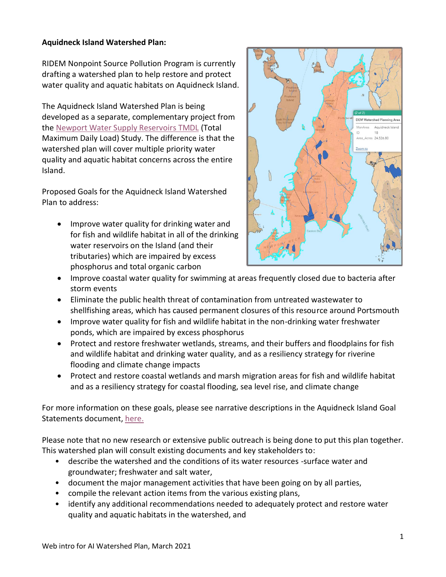## **Aquidneck Island Watershed Plan:**

RIDEM Nonpoint Source Pollution Program is currently drafting a watershed plan to help restore and protect water quality and aquatic habitats on Aquidneck Island.

The Aquidneck Island Watershed Plan is being developed as a separate, complementary project from the [Newport Water Supply Reservoirs](http://www.dem.ri.gov/programs/water/quality/restoration-studies/reports.php#DNarragansett) TMDL (Total Maximum Daily Load) Study. The difference is that the watershed plan will cover multiple priority water quality and aquatic habitat concerns across the entire Island.

Proposed Goals for the Aquidneck Island Watershed Plan to address:

• Improve water quality for drinking water and for fish and wildlife habitat in all of the drinking water reservoirs on the Island (and their tributaries) which are impaired by excess phosphorus and total organic carbon



- Improve coastal water quality for swimming at areas frequently closed due to bacteria after storm events
- Eliminate the public health threat of contamination from untreated wastewater to shellfishing areas, which has caused permanent closures of this resource around Portsmouth
- Improve water quality for fish and wildlife habitat in the non-drinking water freshwater ponds, which are impaired by excess phosphorus
- Protect and restore freshwater wetlands, streams, and their buffers and floodplains for fish and wildlife habitat and drinking water quality, and as a resiliency strategy for riverine flooding and climate change impacts
- Protect and restore coastal wetlands and marsh migration areas for fish and wildlife habitat and as a resiliency strategy for coastal flooding, sea level rise, and climate change

For more information on these goals, please see narrative descriptions in the Aquidneck Island Goal Statements document, [here.](http://www.dem.ri.gov/programs/water/quality/non-point/) 

Please note that no new research or extensive public outreach is being done to put this plan together. This watershed plan will consult existing documents and key stakeholders to:

- describe the watershed and the conditions of its water resources -surface water and groundwater; freshwater and salt water,
- document the major management activities that have been going on by all parties,
- compile the relevant action items from the various existing plans,
- identify any additional recommendations needed to adequately protect and restore water quality and aquatic habitats in the watershed, and